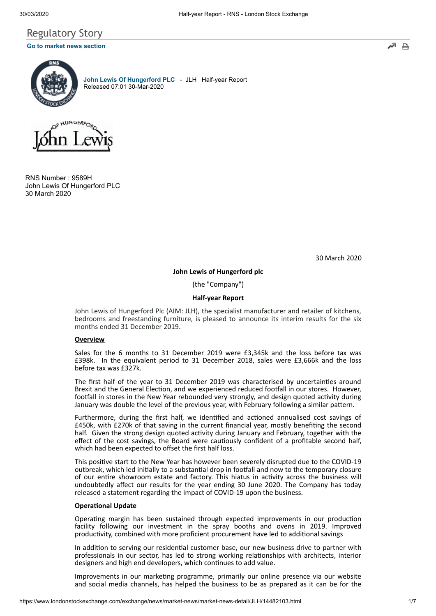# Regulatory Story **[Go to market news section](javascript: sendto()**



**[John Lewis Of Hungerford PLC](https://www.londonstockexchange.com/exchange/prices-and-markets/stocks/summary/company-summary-via-tidm.html?tidm=JLH)** - JLH Half-year Report Released 07:01 30-Mar-2020



RNS Number : 9589H John Lewis Of Hungerford PLC 30 March 2020

30 March 2020

₿

**John Lewis of Hungerford plc**

(the "Company")

### **Half-year Report**

John Lewis of Hungerford Plc (AIM: JLH), the specialist manufacturer and retailer of kitchens, bedrooms and freestanding furniture, is pleased to announce its interim results for the six months ended 31 December 2019.

### **Overview**

Sales for the 6 months to 31 December 2019 were £3,345k and the loss before tax was £398k. In the equivalent period to 31 December 2018, sales were £3,666k and the loss before tax was £327k.

The first half of the year to 31 December 2019 was characterised by uncertainties around Brexit and the General Election, and we experienced reduced footfall in our stores. However, footfall in stores in the New Year rebounded very strongly, and design quoted activity during January was double the level of the previous year, with February following a similar pattern.

Furthermore, during the first half, we identified and actioned annualised cost savings of £450k, with £270k of that saving in the current financial year, mostly benefing the second half. Given the strong design quoted activity during January and February, together with the effect of the cost savings, the Board were cautiously confident of a profitable second half, which had been expected to offset the first half loss.

This positive start to the New Year has however been severely disrupted due to the COVID-19 outbreak, which led initially to a substantial drop in footfall and now to the temporary closure of our entire showroom estate and factory. This hiatus in activity across the business will undoubtedly affect our results for the year ending 30 June 2020. The Company has today released a statement regarding the impact of COVID-19 upon the business.

#### **Operational Update**

Operating margin has been sustained through expected improvements in our production facility following our investment in the spray booths and ovens in 2019. Improved productivity, combined with more proficient procurement have led to additional savings

In addition to serving our residential customer base, our new business drive to partner with professionals in our sector, has led to strong working relationships with architects, interior designers and high end developers, which continues to add value.

Improvements in our marketing programme, primarily our online presence via our website and social media channels, has helped the business to be as prepared as it can be for the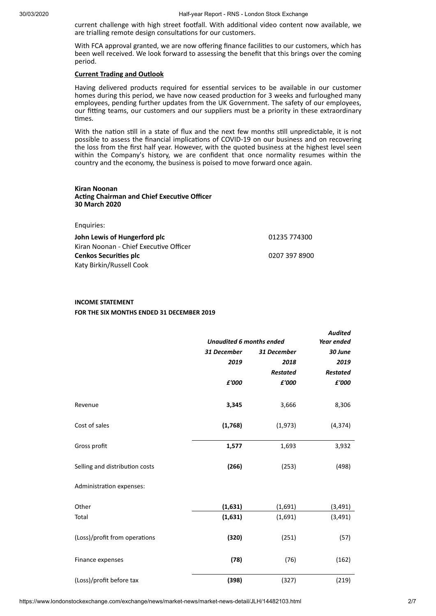current challenge with high street footfall. With additional video content now available, we are trialling remote design consultations for our customers.

With FCA approval granted, we are now offering finance facilities to our customers, which has been well received. We look forward to assessing the benefit that this brings over the coming period.

### **Current Trading and Outlook**

Having delivered products required for essential services to be available in our customer homes during this period, we have now ceased production for 3 weeks and furloughed many employees, pending further updates from the UK Government. The safety of our employees, our fing teams, our customers and our suppliers must be a priority in these extraordinary times.

With the nation still in a state of flux and the next few months still unpredictable, it is not possible to assess the financial implications of COVID-19 on our business and on recovering the loss from the first half year. However, with the quoted business at the highest level seen within the Company's history, we are confident that once normality resumes within the country and the economy, the business is poised to move forward once again.

### **Kiran Noonan Acting Chairman and Chief Executive Officer 30 March 2020**

Enquiries:

| chquires.                              |               |
|----------------------------------------|---------------|
| John Lewis of Hungerford plc           | 01235 774300  |
| Kiran Noonan - Chief Executive Officer |               |
| <b>Cenkos Securities plc</b>           | 0207 397 8900 |
| Katy Birkin/Russell Cook               |               |

## **INCOME STATEMENT FOR THE SIX MONTHS ENDED 31 DECEMBER 2019**

|                                | <b>Unaudited 6 months ended</b> |                 | <b>Audited</b><br>Year ended |
|--------------------------------|---------------------------------|-----------------|------------------------------|
|                                | 31 December                     | 31 December     | 30 June                      |
|                                | 2019                            | 2018            | 2019                         |
|                                |                                 |                 |                              |
|                                |                                 | <b>Restated</b> | Restated                     |
|                                | £'000                           | £'000           | £'000                        |
| Revenue                        | 3,345                           | 3,666           | 8,306                        |
|                                |                                 |                 |                              |
| Cost of sales                  | (1,768)                         | (1,973)         | (4, 374)                     |
|                                |                                 |                 |                              |
| Gross profit                   | 1,577                           | 1,693           | 3,932                        |
| Selling and distribution costs | (266)                           | (253)           | (498)                        |
| Administration expenses:       |                                 |                 |                              |
| Other                          | (1,631)                         | (1,691)         | (3, 491)                     |
| Total                          | (1,631)                         | (1,691)         | (3, 491)                     |
| (Loss)/profit from operations  | (320)                           | (251)           | (57)                         |
| Finance expenses               | (78)                            | (76)            | (162)                        |
| (Loss)/profit before tax       | (398)                           | (327)           | (219)                        |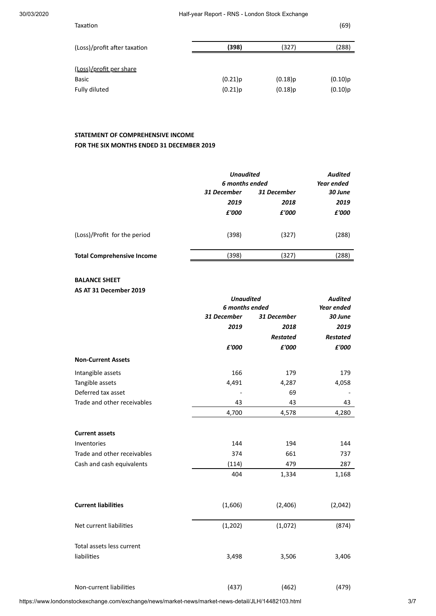| Taxation                     |         |         | (69)    |
|------------------------------|---------|---------|---------|
| (Loss)/profit after taxation | (398)   | (327)   | (288)   |
| (Loss)/profit per share      |         |         |         |
| <b>Basic</b>                 | (0.21)p | (0.18)p | (0.10)p |
| Fully diluted                | (0.21)p | (0.18)p | (0.10)p |

# **STATEMENT OF COMPREHENSIVE INCOME FOR THE SIX MONTHS ENDED 31 DECEMBER 2019**

|                                   | <b>Unaudited</b><br>6 months ended | Audited<br>Year ended |         |
|-----------------------------------|------------------------------------|-----------------------|---------|
|                                   | 31 December<br>31 December         |                       | 30 June |
|                                   | 2019                               | 2018                  | 2019    |
|                                   | £'000                              | £'000                 | £'000   |
| (Loss)/Profit for the period      | (398)                              | (327)                 | (288)   |
| <b>Total Comprehensive Income</b> | (398)                              | (327)                 | (288)   |
|                                   |                                    |                       |         |

# **BALANCE SHEET**

**AS AT 31 December 2019**

|                             | <b>Unaudited</b> | <b>Audited</b>  |                 |
|-----------------------------|------------------|-----------------|-----------------|
|                             | 6 months ended   |                 | Year ended      |
|                             | 31 December      | 31 December     | 30 June         |
|                             | 2019             | 2018            | 2019            |
|                             |                  | <b>Restated</b> | <b>Restated</b> |
|                             | £'000            | £'000           | £'000           |
| <b>Non-Current Assets</b>   |                  |                 |                 |
| Intangible assets           | 166              | 179             | 179             |
| Tangible assets             | 4,491            | 4,287           | 4,058           |
| Deferred tax asset          |                  | 69              |                 |
| Trade and other receivables | 43               | 43              | 43              |
|                             | 4,700            | 4,578           | 4,280           |
| <b>Current assets</b>       |                  |                 |                 |
| Inventories                 | 144              | 194             | 144             |
| Trade and other receivables | 374              | 661             | 737             |
| Cash and cash equivalents   | (114)            | 479             | 287             |
|                             | 404              | 1,334           | 1,168           |
|                             |                  |                 |                 |
| <b>Current liabilities</b>  | (1,606)          | (2,406)         | (2,042)         |
| Net current liabilities     | (1, 202)         | (1,072)         | (874)           |
| Total assets less current   |                  |                 |                 |
| liabilities                 | 3,498            | 3,506           | 3,406           |
|                             |                  |                 |                 |

Non-current liabilities (437) (462) (479)

https://www.londonstockexchange.com/exchange/news/market-news/market-news-detail/JLH/14482103.html 3/7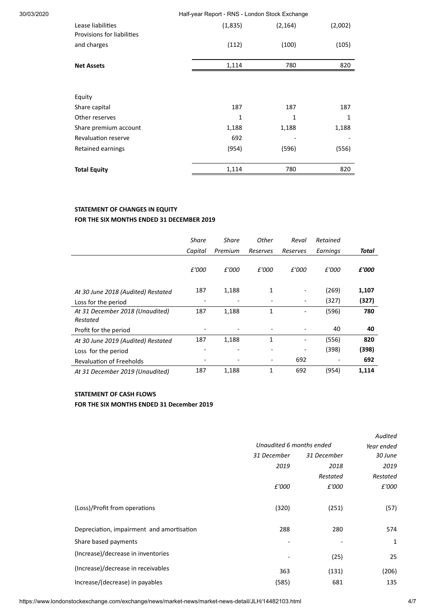| 30/03/2020 |                                                 |              | Half-year Report - RNS - London Stock Exchange |         |  |
|------------|-------------------------------------------------|--------------|------------------------------------------------|---------|--|
|            | Lease liabilities<br>Provisions for liabilities | (1,835)      | (2, 164)                                       | (2,002) |  |
|            | and charges                                     | (112)        | (100)                                          | (105)   |  |
|            | <b>Net Assets</b>                               | 1,114        | 780                                            | 820     |  |
|            | Equity                                          |              |                                                |         |  |
|            | Share capital                                   | 187          | 187                                            | 187     |  |
|            | Other reserves                                  | $\mathbf{1}$ | $\mathbf{1}$                                   | 1       |  |
|            | Share premium account                           | 1,188        | 1,188                                          | 1,188   |  |
|            | <b>Revaluation reserve</b>                      | 692          |                                                |         |  |
|            | Retained earnings                               | (954)        | (596)                                          | (556)   |  |
|            | <b>Total Equity</b>                             | 1,114        | 780                                            | 820     |  |

# **STATEMENT OF CHANGES IN EQUITY FOR THE SIX MONTHS ENDED 31 DECEMBER 2019**

|                                             | <b>Share</b>             | Share                    | Other        | Reval    | Retained |       |
|---------------------------------------------|--------------------------|--------------------------|--------------|----------|----------|-------|
|                                             | Capital                  | Premium                  | Reserves     | Reserves | Earnings | Total |
|                                             | £'000                    | £'000                    | £'000        | £'000    | £'000    | £'000 |
| At 30 June 2018 (Audited) Restated          | 187                      | 1,188                    | 1            |          | (269)    | 1,107 |
| Loss for the period                         | $\overline{\phantom{a}}$ | $\overline{\phantom{0}}$ |              |          | (327)    | (327) |
| At 31 December 2018 (Unaudited)<br>Restated | 187                      | 1,188                    | 1            |          | (596)    | 780   |
| Profit for the period                       |                          |                          |              |          | 40       | 40    |
| At 30 June 2019 (Audited) Restated          | 187                      | 1,188                    | $\mathbf{1}$ |          | (556)    | 820   |
| Loss for the period                         |                          |                          |              |          | (398)    | (398) |
| <b>Revaluation of Freeholds</b>             |                          |                          |              | 692      |          | 692   |
| At 31 December 2019 (Unaudited)             | 187                      | 1,188                    | $\mathbf{1}$ | 692      | (954)    | 1.114 |

# **STATEMENT OF CASH FLOWS**

# **FOR THE SIX MONTHS ENDED 31 December 2019**

|                                           |                          |             | Audited    |
|-------------------------------------------|--------------------------|-------------|------------|
|                                           | Unaudited 6 months ended |             | Year ended |
|                                           | 31 December              | 31 December | 30 June    |
|                                           | 2019                     | 2018        | 2019       |
|                                           |                          | Restated    | Restated   |
|                                           | £'000                    | £'000       | £'000      |
|                                           |                          |             |            |
| (Loss)/Profit from operations             | (320)                    | (251)       | (57)       |
|                                           |                          |             |            |
| Depreciation, impairment and amortisation | 288                      | 280         | 574        |
| Share based payments                      |                          |             | 1          |
| (Increase)/decrease in inventories        |                          | (25)        | 25         |
| (Increase)/decrease in receivables        | 363                      | (131)       | (206)      |
|                                           |                          |             |            |
| Increase/(decrease) in payables           | (585)                    | 681         | 135        |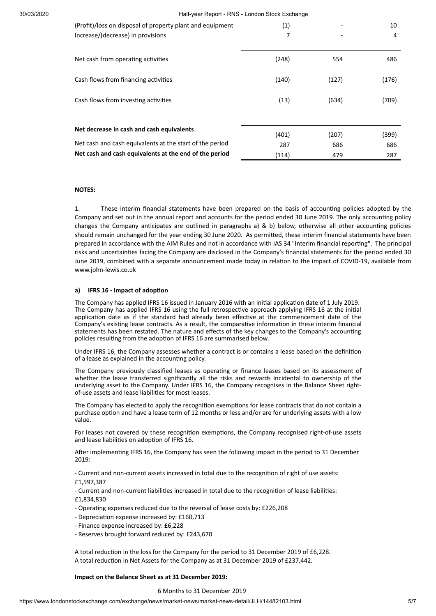30/03/2020 Half-year Report - RNS - London Stock Exchange

| (Profit)/loss on disposal of property plant and equipment<br>Increase/(decrease) in provisions | (1)<br>7 |       | 10<br>4 |
|------------------------------------------------------------------------------------------------|----------|-------|---------|
| Net cash from operating activities                                                             | (248)    | 554   | 486     |
| Cash flows from financing activities                                                           | (140)    | (127) | (176)   |
| Cash flows from investing activities                                                           | (13)     | (634) | (709)   |
|                                                                                                |          |       |         |
| Net decrease in cash and cash equivalents                                                      | (401)    | (207) | (399)   |
| Net cash and cash equivalents at the start of the period                                       | 287      | 686   | 686     |
| Net cash and cash equivalents at the end of the period                                         | (114)    | 479   | 287     |

### **NOTES:**

1. These interim financial statements have been prepared on the basis of accounting policies adopted by the Company and set out in the annual report and accounts for the period ended 30 June 2019. The only accounting policy changes the Company anticipates are outlined in paragraphs a)  $\&$  b) below, otherwise all other accounting policies should remain unchanged for the year ending 30 June 2020. As permitted, these interim financial statements have been prepared in accordance with the AIM Rules and not in accordance with IAS 34 "Interim financial reporting". The principal risks and uncertainties facing the Company are disclosed in the Company's financial statements for the period ended 30 June 2019, combined with a separate announcement made today in relation to the impact of COVID-19, available from www.john-lewis.co.uk

### **a) IFRS 16 - Impact of adopon**

The Company has applied IFRS 16 issued in January 2016 with an initial application date of 1 July 2019. The Company has applied IFRS 16 using the full retrospective approach applying IFRS 16 at the initial application date as if the standard had already been effective at the commencement date of the Company's existing lease contracts. As a result, the comparative information in these interim financial statements has been restated. The nature and effects of the key changes to the Company's accounting policies resulting from the adoption of IFRS 16 are summarised below.

Under IFRS 16, the Company assesses whether a contract is or contains a lease based on the definition of a lease as explained in the accounting policy.

The Company previously classified leases as operating or finance leases based on its assessment of whether the lease transferred significantly all the risks and rewards incidental to ownership of the underlying asset to the Company. Under IFRS 16, the Company recognises in the Balance Sheet rightof-use assets and lease liabilies for most leases.

The Company has elected to apply the recognition exemptions for lease contracts that do not contain a purchase option and have a lease term of 12 months or less and/or are for underlying assets with a low value.

For leases not covered by these recognition exemptions, the Company recognised right-of-use assets and lease liabilities on adoption of IFRS 16.

After implementing IFRS 16, the Company has seen the following impact in the period to 31 December 2019:

- Current and non-current assets increased in total due to the recognition of right of use assets: £1,597,387

- Current and non-current liabilities increased in total due to the recognition of lease liabilities: £1,834,830

- Operating expenses reduced due to the reversal of lease costs by: £226,208
- Depreciation expense increased by: £160,713
- Finance expense increased by: £6,228
- Reserves brought forward reduced by: £243,670

A total reduction in the loss for the Company for the period to 31 December 2019 of £6,228. A total reduction in Net Assets for the Company as at 31 December 2019 of £237,442.

### **Impact on the Balance Sheet as at 31 December 2019:**

#### 6 Months to 31 December 2019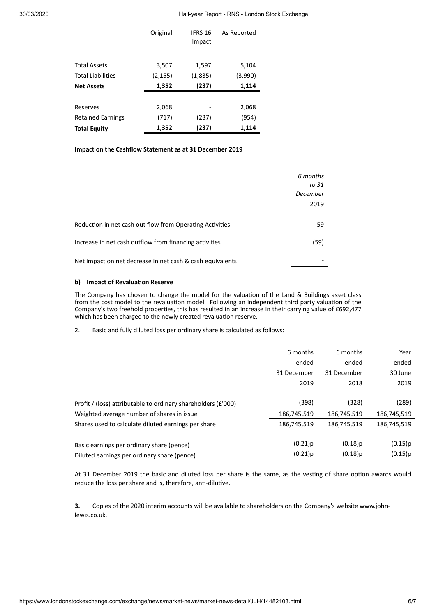30/03/2020 Half-year Report - RNS - London Stock Exchange

|                          | Original | IFRS 16<br>Impact | As Reported |
|--------------------------|----------|-------------------|-------------|
| <b>Total Assets</b>      | 3,507    | 1,597             | 5,104       |
| <b>Total Liabilities</b> | (2,155)  | (1,835)           | (3,990)     |
| <b>Net Assets</b>        | 1,352    | (237)             | 1,114       |
|                          |          |                   |             |
| Reserves                 | 2,068    |                   | 2,068       |
| <b>Retained Earnings</b> | (717)    | (237)             | (954)       |
| <b>Total Equity</b>      | 1,352    | (237)             | 1,114       |

### **Impact on the Cashflow Statement as at 31 December 2019**

|                                                           | 6 months<br>to 31<br>December<br>2019 |
|-----------------------------------------------------------|---------------------------------------|
| Reduction in net cash out flow from Operating Activities  | 59                                    |
| Increase in net cash outflow from financing activities    | (59)                                  |
| Net impact on net decrease in net cash & cash equivalents |                                       |

### **b) Impact of Revaluation Reserve**

The Company has chosen to change the model for the valuation of the Land & Buildings asset class from the cost model to the revaluation model. Following an independent third party valuation of the Company's two freehold properties, this has resulted in an increase in their carrying value of £692,477 which has been charged to the newly created revaluation reserve.

2. Basic and fully diluted loss per ordinary share is calculated as follows:

| 6 months    | 6 months         | Year             |
|-------------|------------------|------------------|
| ended       | ended            | ended            |
| 31 December | 31 December      | 30 June          |
| 2019        | 2018             | 2019             |
|             |                  |                  |
|             |                  | (289)            |
| 186,745,519 | 186,745,519      | 186,745,519      |
| 186,745,519 | 186.745.519      | 186,745,519      |
|             |                  | (0.15)p          |
| (0.21)p     | $(0.18)$ p       | (0.15)p          |
|             | (398)<br>(0.21)p | (328)<br>(0.18)p |

At 31 December 2019 the basic and diluted loss per share is the same, as the vesting of share option awards would reduce the loss per share and is, therefore, anti-dilutive.

**3.** Copies of the 2020 interim accounts will be available to shareholders on the Company's website www.johnlewis.co.uk.